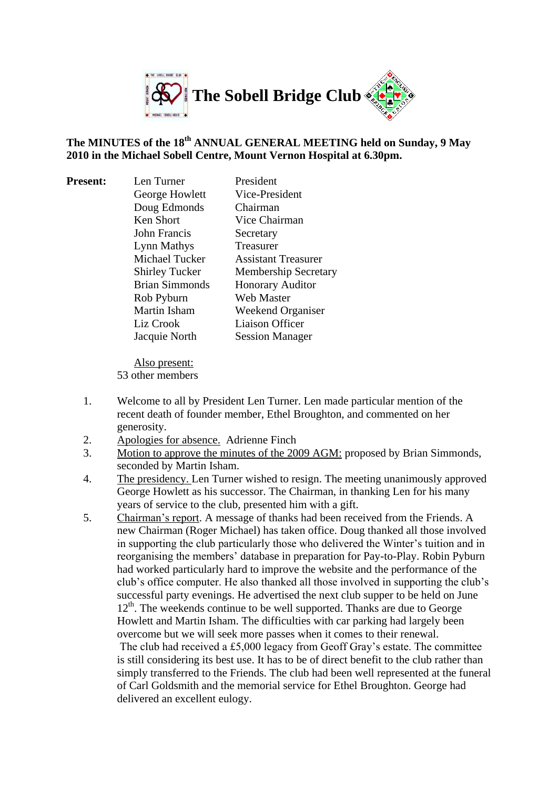

# **The MINUTES of the 18th ANNUAL GENERAL MEETING held on Sunday, 9 May 2010 in the Michael Sobell Centre, Mount Vernon Hospital at 6.30pm.**

| <b>Present:</b> | Len Turner            | President                   |
|-----------------|-----------------------|-----------------------------|
|                 | George Howlett        | Vice-President              |
|                 | Doug Edmonds          | Chairman                    |
|                 | Ken Short             | Vice Chairman               |
|                 | John Francis          | Secretary                   |
|                 | Lynn Mathys           | Treasurer                   |
|                 | <b>Michael Tucker</b> | <b>Assistant Treasurer</b>  |
|                 | <b>Shirley Tucker</b> | <b>Membership Secretary</b> |
|                 | <b>Brian Simmonds</b> | <b>Honorary Auditor</b>     |
|                 | Rob Pyburn            | Web Master                  |
|                 | <b>Martin Isham</b>   | Weekend Organiser           |
|                 | Liz Crook             | Liaison Officer             |
|                 | Jacquie North         | <b>Session Manager</b>      |
|                 |                       |                             |

Also present: 53 other members

- 1. Welcome to all by President Len Turner. Len made particular mention of the recent death of founder member, Ethel Broughton, and commented on her generosity.
- 2. Apologies for absence. Adrienne Finch
- 3. Motion to approve the minutes of the 2009 AGM: proposed by Brian Simmonds, seconded by Martin Isham.
- 4. The presidency. Len Turner wished to resign. The meeting unanimously approved George Howlett as his successor. The Chairman, in thanking Len for his many years of service to the club, presented him with a gift.
- 5. Chairman's report. A message of thanks had been received from the Friends. A new Chairman (Roger Michael) has taken office. Doug thanked all those involved in supporting the club particularly those who delivered the Winter's tuition and in reorganising the members' database in preparation for Pay-to-Play. Robin Pyburn had worked particularly hard to improve the website and the performance of the club's office computer. He also thanked all those involved in supporting the club's successful party evenings. He advertised the next club supper to be held on June  $12<sup>th</sup>$ . The weekends continue to be well supported. Thanks are due to George Howlett and Martin Isham. The difficulties with car parking had largely been overcome but we will seek more passes when it comes to their renewal. The club had received a £5,000 legacy from Geoff Gray's estate. The committee is still considering its best use. It has to be of direct benefit to the club rather than simply transferred to the Friends. The club had been well represented at the funeral

of Carl Goldsmith and the memorial service for Ethel Broughton. George had delivered an excellent eulogy.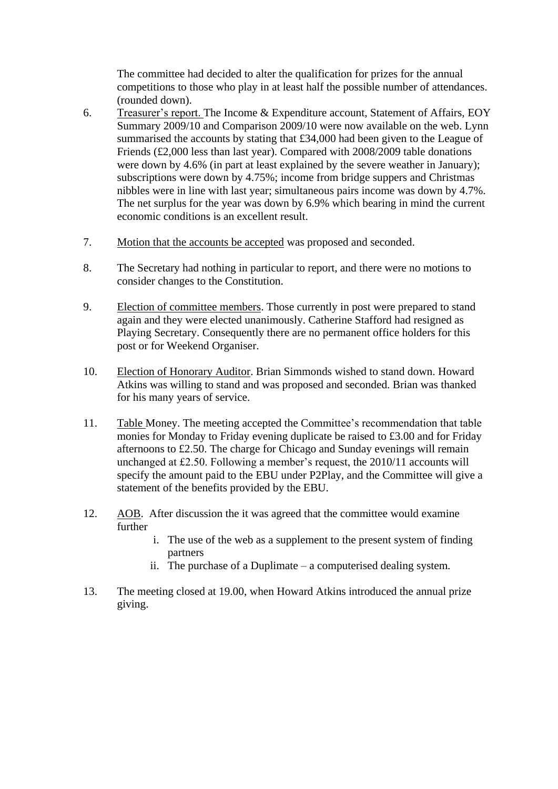The committee had decided to alter the qualification for prizes for the annual competitions to those who play in at least half the possible number of attendances. (rounded down).

- 6. Treasurer's report. The [Income & Expenditure account, Statement of Affairs,](http://www.sobell-bridge.org.uk/AGMs/AGM2009/Income%20and%20Expenditure.pdf) EOY Summary 2009/10 and Comparison 2009/10 were now available on the web. Lynn summarised the accounts by stating that £34,000 had been given to the League of Friends (£2,000 less than last year). Compared with 2008/2009 table donations were down by 4.6% (in part at least explained by the severe weather in January); subscriptions were down by 4.75%; income from bridge suppers and Christmas nibbles were in line with last year; simultaneous pairs income was down by 4.7%. The net surplus for the year was down by 6.9% which bearing in mind the current economic conditions is an excellent result.
- 7. Motion that the accounts be accepted was proposed and seconded.
- 8. The Secretary had nothing in particular to report, and there were no motions to consider changes to the Constitution.
- 9. Election of committee members. Those currently in post were prepared to stand again and they were elected unanimously. Catherine Stafford had resigned as Playing Secretary. Consequently there are no permanent office holders for this post or for Weekend Organiser.
- 10. Election of Honorary Auditor. Brian Simmonds wished to stand down. Howard Atkins was willing to stand and was proposed and seconded. Brian was thanked for his many years of service.
- 11. Table Money. The meeting accepted the Committee's recommendation that table monies for Monday to Friday evening duplicate be raised to £3.00 and for Friday afternoons to £2.50. The charge for Chicago and Sunday evenings will remain unchanged at £2.50. Following a member's request, the 2010/11 accounts will specify the amount paid to the EBU under P2Play, and the Committee will give a statement of the benefits provided by the EBU.
- 12. AOB. After discussion the it was agreed that the committee would examine further
	- i. The use of the web as a supplement to the present system of finding partners
	- ii. The purchase of a Duplimate a computerised dealing system.
- 13. The meeting closed at 19.00, when Howard Atkins introduced the annual prize giving.